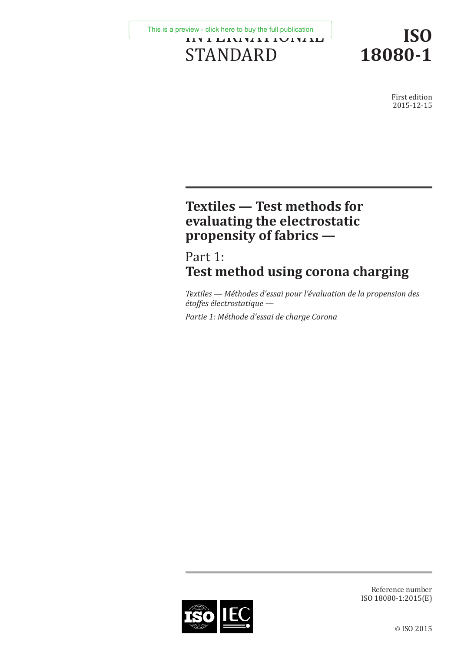INTERNATIONAL STANDARD [This is a preview - click here to buy the full publication](https://webstore.iec.ch/publication/23956&preview=1)

**ISO 18080-1**

> First edition 2015-12-15

# **Textiles — Test methods for evaluating the electrostatic propensity of fabrics —**

# Part 1: **Test method using corona charging**

*Textiles — Méthodes d'essai pour l'évaluation de la propension des étoffes électrostatique —*

*Partie 1: Méthode d'essai de charge Corona*



Reference number ISO 18080-1:2015(E)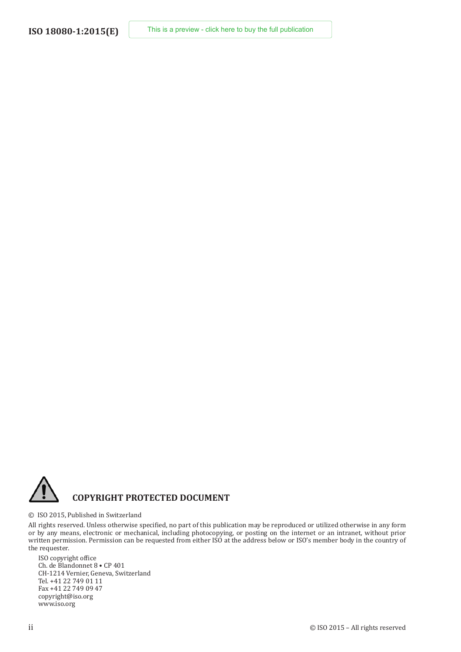

### **COPYRIGHT PROTECTED DOCUMENT**

#### © ISO 2015, Published in Switzerland

All rights reserved. Unless otherwise specified, no part of this publication may be reproduced or utilized otherwise in any form or by any means, electronic or mechanical, including photocopying, or posting on the internet or an intranet, without prior written permission. Permission can be requested from either ISO at the address below or ISO's member body in the country of the requester.

ISO copyright office Ch. de Blandonnet 8 • CP 401 CH-1214 Vernier, Geneva, Switzerland Tel. +41 22 749 01 11 Fax +41 22 749 09 47 copyright@iso.org www.iso.org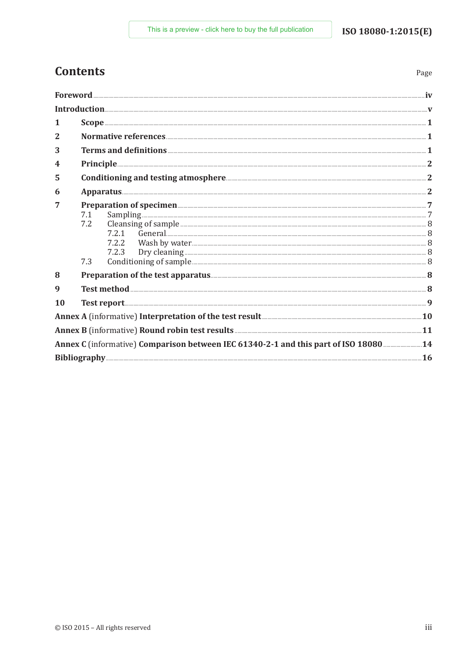Page

# **Contents**

|              | Foreword                                                                                                                                                                                                                                                                                                                                                                                |  |
|--------------|-----------------------------------------------------------------------------------------------------------------------------------------------------------------------------------------------------------------------------------------------------------------------------------------------------------------------------------------------------------------------------------------|--|
|              |                                                                                                                                                                                                                                                                                                                                                                                         |  |
| 1            | $\textbf{Scope} \texttt{} \texttt{} \texttt{} \texttt{} \texttt{} \texttt{} \texttt{} \texttt{} \texttt{} \texttt{} \texttt{} \texttt{} \texttt{} \texttt{} \texttt{} \texttt{} \texttt{} \texttt{} \texttt{} \texttt{} \texttt{} \texttt{} \texttt{} \texttt{} \texttt{} \texttt{} \texttt{} \texttt{} \texttt{} \texttt{} \texttt{} \texttt{} \texttt{} \texttt{} \texttt{} \texttt{$ |  |
| $\mathbf{2}$ |                                                                                                                                                                                                                                                                                                                                                                                         |  |
| 3            |                                                                                                                                                                                                                                                                                                                                                                                         |  |
| 4            | Principle 22                                                                                                                                                                                                                                                                                                                                                                            |  |
| 5            |                                                                                                                                                                                                                                                                                                                                                                                         |  |
| 6            | Apparatus 2                                                                                                                                                                                                                                                                                                                                                                             |  |
| 7            | Preparation of specimen <b>Execution</b> 3<br>Sampling <u>Exampling</u> Sampling Sampling Sampling Sampling Sampling Sampling Sampling Sampling Sampling Sampling Sampling Sampling Sampling Sampling Sampling Sampling Sampling Sampling Sampling Sampling Sampling Sampling Sam<br>7.1<br>7.2<br>7.2.1<br>7.2.2<br>7.2.3<br>7.3                                                       |  |
| 8            |                                                                                                                                                                                                                                                                                                                                                                                         |  |
| 9            | Test method 38                                                                                                                                                                                                                                                                                                                                                                          |  |
| 10           |                                                                                                                                                                                                                                                                                                                                                                                         |  |
|              | Annex A (informative) Interpretation of the test result <b>Example 2018</b> 10                                                                                                                                                                                                                                                                                                          |  |
|              |                                                                                                                                                                                                                                                                                                                                                                                         |  |
|              | Annex C (informative) Comparison between IEC 61340-2-1 and this part of ISO 18080 14                                                                                                                                                                                                                                                                                                    |  |
|              |                                                                                                                                                                                                                                                                                                                                                                                         |  |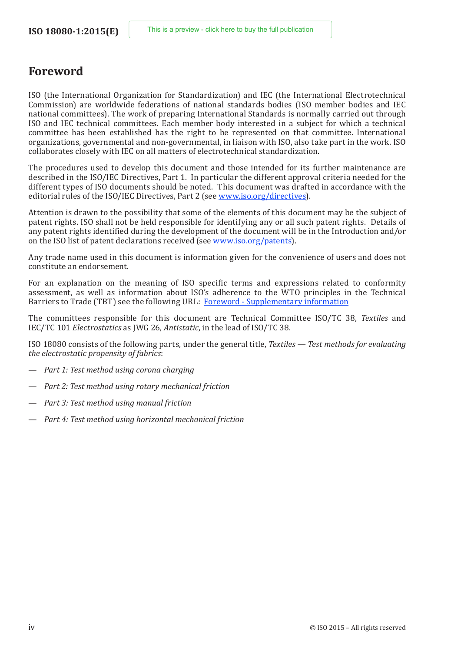### <span id="page-3-0"></span>**Foreword**

ISO (the International Organization for Standardization) and IEC (the International Electrotechnical Commission) are worldwide federations of national standards bodies (ISO member bodies and IEC national committees). The work of preparing International Standards is normally carried out through ISO and IEC technical committees. Each member body interested in a subject for which a technical committee has been established has the right to be represented on that committee. International organizations, governmental and non-governmental, in liaison with ISO, also take part in the work. ISO collaborates closely with IEC on all matters of electrotechnical standardization.

The procedures used to develop this document and those intended for its further maintenance are described in the ISO/IEC Directives, Part 1. In particular the different approval criteria needed for the different types of ISO documents should be noted. This document was drafted in accordance with the editorial rules of the ISO/IEC Directives, Part 2 (see [www.iso.org/directives\)](http://www.iso.org/directives).

Attention is drawn to the possibility that some of the elements of this document may be the subject of patent rights. ISO shall not be held responsible for identifying any or all such patent rights. Details of any patent rights identified during the development of the document will be in the Introduction and/or on the ISO list of patent declarations received (see [www.iso.org/patents](http://www.iso.org/patents)).

Any trade name used in this document is information given for the convenience of users and does not constitute an endorsement.

For an explanation on the meaning of ISO specific terms and expressions related to conformity assessment, as well as information about ISO's adherence to the WTO principles in the Technical Barriers to Trade (TBT) see the following URL: [Foreword - Supplementary information](http://www.iso.org/iso/home/standards_development/resources-for-technical-work/foreword.htm)

The committees responsible for this document are Technical Committee ISO/TC 38, *Textiles* and IEC/TC 101 *Electrostatics* as JWG 26, *Antistatic*, in the lead of ISO/TC 38.

ISO 18080 consists of the following parts, under the general title, *Textiles — Test methods for evaluating the electrostatic propensity of fabrics*:

- *Part 1: Test method using corona charging*
- *Part 2: Test method using rotary mechanical friction*
- *Part 3: Test method using manual friction*
- *Part 4: Test method using horizontal mechanical friction*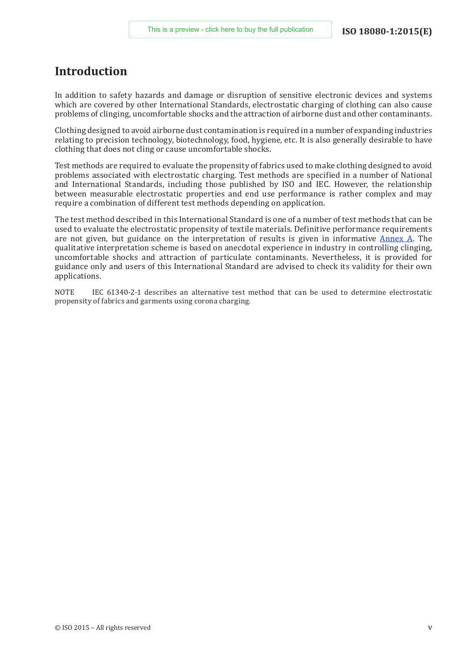### <span id="page-4-0"></span>**Introduction**

In addition to safety hazards and damage or disruption of sensitive electronic devices and systems which are covered by other International Standards, electrostatic charging of clothing can also cause problems of clinging, uncomfortable shocks and the attraction of airborne dust and other contaminants.

Clothing designed to avoid airborne dust contamination is required in a number of expanding industries relating to precision technology, biotechnology, food, hygiene, etc. It is also generally desirable to have clothing that does not cling or cause uncomfortable shocks.

Test methods are required to evaluate the propensity of fabrics used to make clothing designed to avoid problems associated with electrostatic charging. Test methods are specified in a number of National and International Standards, including those published by ISO and IEC. However, the relationship between measurable electrostatic properties and end use performance is rather complex and may require a combination of different test methods depending on application.

The test method described in this International Standard is one of a number of test methods that can be used to evaluate the electrostatic propensity of textile materials. Definitive performance requirements are not given, but guidance on the interpretation of results is given in informative  $\Delta$ nnex  $\Delta$ . The qualitative interpretation scheme is based on anecdotal experience in industry in controlling clinging, uncomfortable shocks and attraction of particulate contaminants. Nevertheless, it is provided for guidance only and users of this International Standard are advised to check its validity for their own applications.

NOTE IEC 61340-2-1 describes an alternative test method that can be used to determine electrostatic propensity of fabrics and garments using corona charging.